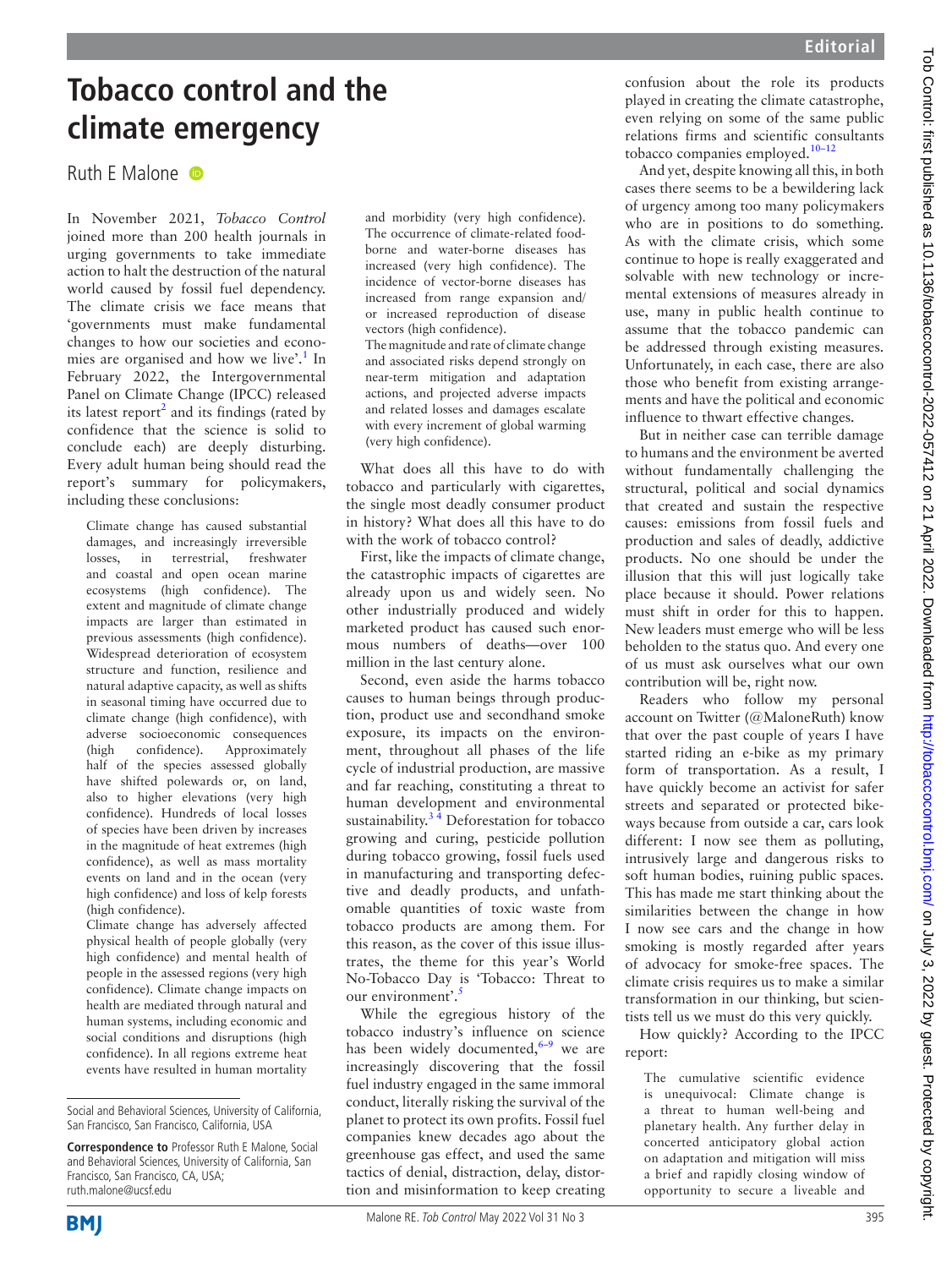# **Tobacco control and the climate emergency**

## Ruth F Malone

In November 2021, *Tobacco Control* joined more than 200 health journals in urging governments to take immediate action to halt the destruction of the natural world caused by fossil fuel dependency. The climate crisis we face means that 'governments must make fundamental changes to how our societies and economies are organised and how we live'.<sup>1</sup> In February 2022, the Intergovernmental Panel on Climate Change (IPCC) released its latest report<sup>[2](#page-1-1)</sup> and its findings (rated by confidence that the science is solid to conclude each) are deeply disturbing. Every adult human being should read the report's summary for policymakers, including these conclusions:

Climate change has caused substantial damages, and increasingly irreversible losses, in terrestrial, freshwater and coastal and open ocean marine ecosystems (high confidence). The extent and magnitude of climate change impacts are larger than estimated in previous assessments (high confidence). Widespread deterioration of ecosystem structure and function, resilience and natural adaptive capacity, as well as shifts in seasonal timing have occurred due to climate change (high confidence), with adverse socioeconomic consequences (high confidence). Approximately half of the species assessed globally have shifted polewards or, on land, also to higher elevations (very high confidence). Hundreds of local losses of species have been driven by increases in the magnitude of heat extremes (high confidence), as well as mass mortality events on land and in the ocean (very high confidence) and loss of kelp forests (high confidence).

Climate change has adversely affected physical health of people globally (very high confidence) and mental health of people in the assessed regions (very high confidence). Climate change impacts on health are mediated through natural and human systems, including economic and social conditions and disruptions (high confidence). In all regions extreme heat events have resulted in human mortality

and morbidity (very high confidence). The occurrence of climate-related foodborne and water-borne diseases has increased (very high confidence). The incidence of vector-borne diseases has increased from range expansion and/ or increased reproduction of disease vectors (high confidence). The magnitude and rate of climate change and associated risks depend strongly on near-term mitigation and adaptation actions, and projected adverse impacts and related losses and damages escalate with every increment of global warming (very high confidence).

What does all this have to do with tobacco and particularly with cigarettes, the single most deadly consumer product in history? What does all this have to do with the work of tobacco control?

First, like the impacts of climate change, the catastrophic impacts of cigarettes are already upon us and widely seen. No other industrially produced and widely marketed product has caused such enormous numbers of deaths—over 100 million in the last century alone.

Second, even aside the harms tobacco causes to human beings through production, product use and secondhand smoke exposure, its impacts on the environment, throughout all phases of the life cycle of industrial production, are massive and far reaching, constituting a threat to human development and environmental sustainability. $3\frac{3}{4}$  Deforestation for tobacco growing and curing, pesticide pollution during tobacco growing, fossil fuels used in manufacturing and transporting defective and deadly products, and unfathomable quantities of toxic waste from tobacco products are among them. For this reason, as the cover of this issue illustrates, the theme for this year's World No-Tobacco Day is 'Tobacco: Threat to our environment'.<sup>[5](#page-1-3)</sup>

While the egregious history of the tobacco industry's influence on science has been widely documented, $6-9$  we are increasingly discovering that the fossil fuel industry engaged in the same immoral conduct, literally risking the survival of the planet to protect its own profits. Fossil fuel companies knew decades ago about the greenhouse gas effect, and used the same tactics of denial, distraction, delay, distortion and misinformation to keep creating confusion about the role its products played in creating the climate catastrophe, even relying on some of the same public relations firms and scientific consultants tobacco companies employed.<sup>10-12</sup>

And yet, despite knowing all this, in both cases there seems to be a bewildering lack of urgency among too many policymakers who are in positions to do something. As with the climate crisis, which some continue to hope is really exaggerated and solvable with new technology or incremental extensions of measures already in use, many in public health continue to assume that the tobacco pandemic can be addressed through existing measures. Unfortunately, in each case, there are also those who benefit from existing arrangements and have the political and economic influence to thwart effective changes.

But in neither case can terrible damage to humans and the environment be averted without fundamentally challenging the structural, political and social dynamics that created and sustain the respective causes: emissions from fossil fuels and production and sales of deadly, addictive products. No one should be under the illusion that this will just logically take place because it should. Power relations must shift in order for this to happen. New leaders must emerge who will be less beholden to the status quo. And every one of us must ask ourselves what our own contribution will be, right now.

Readers who follow my personal account on Twitter (@MaloneRuth) know that over the past couple of years I have started riding an e-bike as my primary form of transportation. As a result, I have quickly become an activist for safer streets and separated or protected bikeways because from outside a car, cars look different: I now see them as polluting, intrusively large and dangerous risks to soft human bodies, ruining public spaces. This has made me start thinking about the similarities between the change in how I now see cars and the change in how smoking is mostly regarded after years of advocacy for smoke-free spaces. The climate crisis requires us to make a similar transformation in our thinking, but scientists tell us we must do this very quickly.

How quickly? According to the IPCC report:

The cumulative scientific evidence is unequivocal: Climate change is a threat to human well-being and planetary health. Any further delay in concerted anticipatory global action on adaptation and mitigation will miss a brief and rapidly closing window of opportunity to secure a liveable and

Social and Behavioral Sciences, University of California, San Francisco, San Francisco, California, USA

**Correspondence to** Professor Ruth E Malone, Social and Behavioral Sciences, University of California, San Francisco, San Francisco, CA, USA; ruth.malone@ucsf.edu